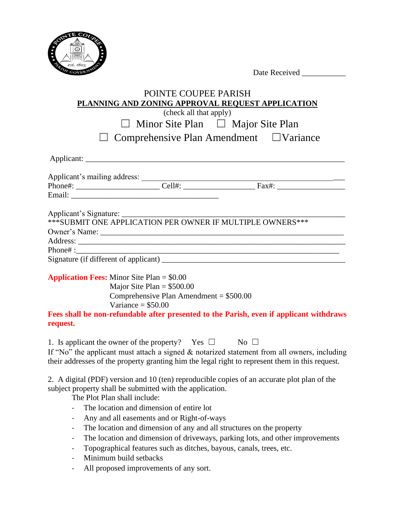

## POINTE COUPEE PARISH **PLANNING AND ZONING APPROVAL REQUEST APPLICATION** (check all that apply) ☐ Minor Site Plan ☐ Major Site Plan ☐ Comprehensive Plan Amendment ☐Variance Applicant: Applicant's mailing address: \_\_\_\_\_\_\_\_\_\_\_\_\_\_\_\_\_\_\_\_\_\_\_\_\_\_\_\_\_\_\_\_\_\_\_\_\_\_\_\_\_\_\_\_\_\_\_\_\_\_\_ Phone#: \_\_\_\_\_\_\_\_\_\_\_\_\_\_\_\_\_\_\_\_\_ Cell#: \_\_\_\_\_\_\_\_\_\_\_\_\_\_\_\_\_\_ Fax#: \_\_\_\_\_\_\_\_\_\_\_\_\_\_\_\_\_ Email: \_\_\_\_\_\_\_\_\_\_\_\_\_\_\_\_\_\_\_\_\_\_\_\_\_\_\_\_\_\_\_\_\_\_\_\_\_ Applicant's Signature: \*\*\*SUBMIT ONE APPLICATION PER OWNER IF MULTIPLE OWNERS\*\*\* Owner's Name: \_\_\_\_\_\_\_\_\_\_\_\_\_\_\_\_\_\_\_\_\_\_\_\_\_\_\_\_\_\_\_\_\_\_\_\_\_\_\_\_\_\_\_\_\_\_\_\_\_\_\_\_\_\_\_\_\_\_\_\_\_ Address: \_\_\_\_\_\_\_\_\_\_\_\_\_\_\_\_\_\_\_\_\_\_\_\_\_\_\_\_\_\_\_\_\_\_\_\_\_\_\_\_\_\_\_\_\_\_\_\_\_\_\_\_\_\_\_\_\_\_\_\_\_\_\_\_\_\_\_  $\mathbf{Phone}$  : Signature (if different of applicant) \_\_\_\_\_\_\_\_\_\_\_\_\_\_\_\_\_\_\_\_\_\_\_\_\_\_\_\_\_\_\_\_\_\_\_\_\_\_\_\_\_\_\_\_\_\_ **Application Fees:** Minor Site Plan = \$0.00 Major Site Plan  $= $500.00$  Comprehensive Plan Amendment = \$500.00 Variance  $= $50.00$

**Fees shall be non-refundable after presented to the Parish, even if applicant withdraws request.**

1. Is applicant the owner of the property? Yes  $\Box$  No  $\Box$ 

If "No" the applicant must attach a signed  $\&$  notarized statement from all owners, including their addresses of the property granting him the legal right to represent them in this request.

2. A digital (PDF) version and 10 (ten) reproducible copies of an accurate plot plan of the subject property shall be submitted with the application.

The Plot Plan shall include:

- The location and dimension of entire lot
- Any and all easements and or Right-of-ways
- The location and dimension of any and all structures on the property
- The location and dimension of driveways, parking lots, and other improvements
- Topographical features such as ditches, bayous, canals, trees, etc.
- Minimum build setbacks
- All proposed improvements of any sort.